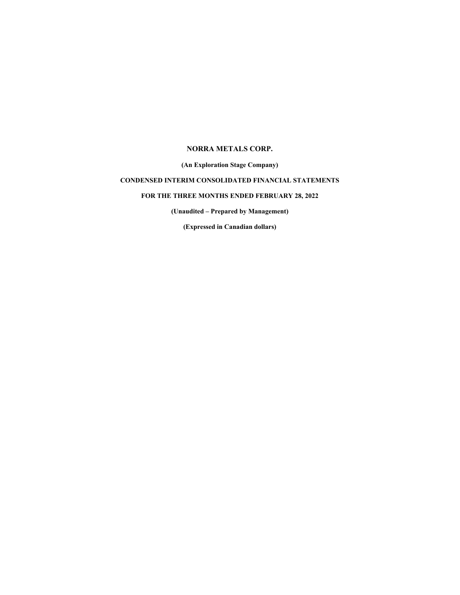## **NORRA METALS CORP.**

**(An Exploration Stage Company)**

# **CONDENSED INTERIM CONSOLIDATED FINANCIAL STATEMENTS**

## **FOR THE THREE MONTHS ENDED FEBRUARY 28, 2022**

**(Unaudited – Prepared by Management)**

**(Expressed in Canadian dollars)**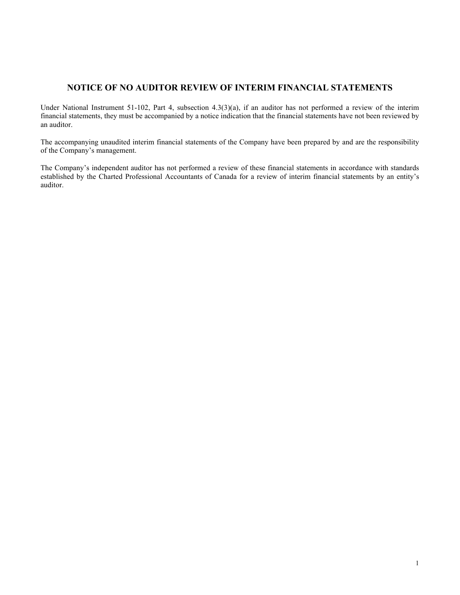# **NOTICE OF NO AUDITOR REVIEW OF INTERIM FINANCIAL STATEMENTS**

Under National Instrument 51-102, Part 4, subsection 4.3(3)(a), if an auditor has not performed a review of the interim financial statements, they must be accompanied by a notice indication that the financial statements have not been reviewed by an auditor.

The accompanying unaudited interim financial statements of the Company have been prepared by and are the responsibility of the Company's management.

The Company's independent auditor has not performed a review of these financial statements in accordance with standards established by the Charted Professional Accountants of Canada for a review of interim financial statements by an entity's auditor.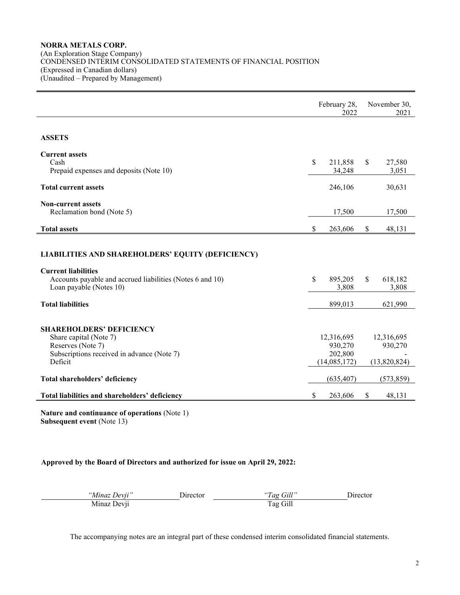### **NORRA METALS CORP.** (An Exploration Stage Company) CONDENSED INTERIM CONSOLIDATED STATEMENTS OF FINANCIAL POSITION (Expressed in Canadian dollars) (Unaudited – Prepared by Management)

|                                                           | February 28,<br>2022 |              |               | November 30,<br>2021 |  |  |
|-----------------------------------------------------------|----------------------|--------------|---------------|----------------------|--|--|
|                                                           |                      |              |               |                      |  |  |
| <b>ASSETS</b>                                             |                      |              |               |                      |  |  |
| <b>Current assets</b>                                     |                      |              |               |                      |  |  |
| Cash                                                      | \$                   | 211,858      | \$            | 27,580               |  |  |
| Prepaid expenses and deposits (Note 10)                   |                      | 34,248       |               | 3,051                |  |  |
| <b>Total current assets</b>                               |                      | 246,106      |               | 30,631               |  |  |
| <b>Non-current assets</b>                                 |                      |              |               |                      |  |  |
| Reclamation bond (Note 5)                                 |                      | 17,500       |               | 17,500               |  |  |
| <b>Total assets</b>                                       | \$                   | 263,606      | <sup>\$</sup> | 48,131               |  |  |
|                                                           |                      |              |               |                      |  |  |
| LIABILITIES AND SHAREHOLDERS' EQUITY (DEFICIENCY)         |                      |              |               |                      |  |  |
| <b>Current liabilities</b>                                |                      |              |               |                      |  |  |
| Accounts payable and accrued liabilities (Notes 6 and 10) | \$                   | 895,205      | <sup>\$</sup> | 618,182              |  |  |
| Loan payable (Notes 10)                                   |                      | 3,808        |               | 3,808                |  |  |
| <b>Total liabilities</b>                                  |                      | 899,013      |               | 621,990              |  |  |
|                                                           |                      |              |               |                      |  |  |
| <b>SHAREHOLDERS' DEFICIENCY</b>                           |                      |              |               |                      |  |  |
| Share capital (Note 7)                                    |                      | 12,316,695   |               | 12,316,695           |  |  |
| Reserves (Note 7)                                         |                      | 930,270      |               | 930,270              |  |  |
| Subscriptions received in advance (Note 7)<br>Deficit     |                      | 202,800      |               |                      |  |  |
|                                                           |                      | (14,085,172) |               | (13,820,824)         |  |  |
| Total shareholders' deficiency                            |                      | (635, 407)   |               | (573, 859)           |  |  |
| Total liabilities and shareholders' deficiency            | \$                   | 263,606      | \$            | 48,131               |  |  |

**Nature and continuance of operations** (Note 1) **Subsequent event** (Note 13)

## **Approved by the Board of Directors and authorized for issue on April 29, 2022:**

| "Minaz Devii" | Director. | "Tag Gill" | . Jirector |
|---------------|-----------|------------|------------|
| Minaz Devii   |           | Tag Gill   |            |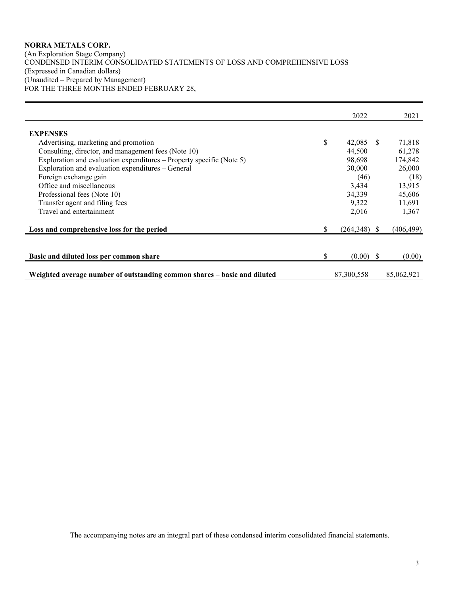## **NORRA METALS CORP.** (An Exploration Stage Company) CONDENSED INTERIM CONSOLIDATED STATEMENTS OF LOSS AND COMPREHENSIVE LOSS (Expressed in Canadian dollars) (Unaudited – Prepared by Management) FOR THE THREE MONTHS ENDED FEBRUARY 28,

|                                                                          |    | 2022        |     | 2021       |
|--------------------------------------------------------------------------|----|-------------|-----|------------|
| <b>EXPENSES</b>                                                          |    |             |     |            |
| Advertising, marketing and promotion                                     | \$ | 42,085      | -SS | 71,818     |
| Consulting, director, and management fees (Note 10)                      |    | 44,500      |     | 61,278     |
|                                                                          |    |             |     |            |
| Exploration and evaluation expenditures – Property specific (Note 5)     |    | 98.698      |     | 174,842    |
| Exploration and evaluation expenditures - General                        |    | 30,000      |     | 26,000     |
| Foreign exchange gain                                                    |    | (46)        |     | (18)       |
| Office and miscellaneous                                                 |    | 3.434       |     | 13.915     |
| Professional fees (Note 10)                                              |    | 34,339      |     | 45,606     |
| Transfer agent and filing fees                                           |    | 9,322       |     | 11,691     |
| Travel and entertainment                                                 |    | 2.016       |     | 1,367      |
| Loss and comprehensive loss for the period                               | S  | (264,348)   | -SS | (406,499)  |
|                                                                          |    |             |     |            |
| Basic and diluted loss per common share                                  | \$ | $(0.00)$ \$ |     | (0.00)     |
|                                                                          |    |             |     |            |
| Weighted average number of outstanding common shares – basic and diluted |    | 87,300,558  |     | 85,062,921 |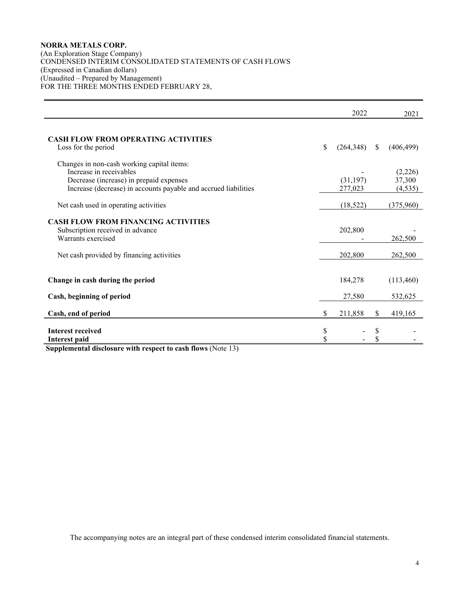## **NORRA METALS CORP.**

(An Exploration Stage Company) CONDENSED INTERIM CONSOLIDATED STATEMENTS OF CASH FLOWS (Expressed in Canadian dollars) (Unaudited – Prepared by Management) FOR THE THREE MONTHS ENDED FEBRUARY 28,

|                                                                                                                                                                                     |          | 2022                 |               | 2021                          |
|-------------------------------------------------------------------------------------------------------------------------------------------------------------------------------------|----------|----------------------|---------------|-------------------------------|
| <b>CASH FLOW FROM OPERATING ACTIVITIES</b><br>Loss for the period                                                                                                                   | \$       | (264,348)            | <sup>\$</sup> | (406, 499)                    |
| Changes in non-cash working capital items:<br>Increase in receivables<br>Decrease (increase) in prepaid expenses<br>Increase (decrease) in accounts payable and accrued liabilities |          | (31, 197)<br>277,023 |               | (2,226)<br>37,300<br>(4, 535) |
| Net cash used in operating activities                                                                                                                                               |          | (18, 522)            |               | (375,960)                     |
| <b>CASH FLOW FROM FINANCING ACTIVITIES</b><br>Subscription received in advance<br>Warrants exercised                                                                                |          | 202,800              |               | 262,500                       |
| Net cash provided by financing activities                                                                                                                                           |          | 202,800              |               | 262,500                       |
| Change in cash during the period                                                                                                                                                    |          | 184,278              |               | (113,460)                     |
| Cash, beginning of period                                                                                                                                                           |          | 27,580               |               | 532,625                       |
| Cash, end of period                                                                                                                                                                 | \$       | 211,858              | S             | 419,165                       |
| <b>Interest received</b><br><b>Interest paid</b>                                                                                                                                    | \$<br>\$ |                      | S             |                               |

**Supplemental disclosure with respect to cash flows** (Note 13)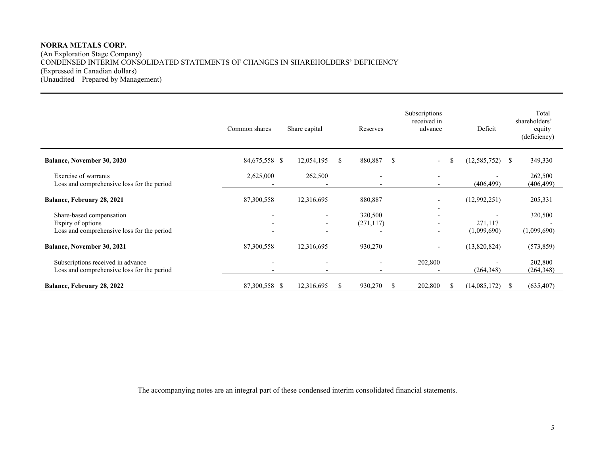## **NORRA METALS CORP.** (An Exploration Stage Company) CONDENSED INTERIM CONSOLIDATED STATEMENTS OF CHANGES IN SHAREHOLDERS' DEFICIENCY (Expressed in Canadian dollars) (Unaudited – Prepared by Management)

|                                                                                             | Common shares                                                                    | Share capital                                                                    |    | Reserves                 | Subscriptions<br>received in<br>advance          | Deficit                | Total<br>shareholders'<br>equity<br>(deficiency) |
|---------------------------------------------------------------------------------------------|----------------------------------------------------------------------------------|----------------------------------------------------------------------------------|----|--------------------------|--------------------------------------------------|------------------------|--------------------------------------------------|
| <b>Balance, November 30, 2020</b>                                                           | 84,675,558 \$                                                                    | 12,054,195                                                                       | S. | 880,887<br><sup>\$</sup> | $\overline{\phantom{0}}$                         | (12, 585, 752)<br>S    | 349,330<br><sup>S</sup>                          |
| Exercise of warrants<br>Loss and comprehensive loss for the period                          | 2,625,000                                                                        | 262,500                                                                          |    | $\overline{\phantom{0}}$ | $\qquad \qquad$                                  | (406, 499)             | 262,500<br>(406, 499)                            |
| Balance, February 28, 2021                                                                  | 87,300,558                                                                       | 12,316,695                                                                       |    | 880,887                  |                                                  | (12,992,251)           | 205,331                                          |
| Share-based compensation<br>Expiry of options<br>Loss and comprehensive loss for the period | $\overline{\phantom{a}}$<br>$\overline{\phantom{0}}$<br>$\overline{\phantom{0}}$ | $\overline{\phantom{a}}$<br>$\overline{\phantom{a}}$<br>$\overline{\phantom{0}}$ |    | 320,500<br>(271, 117)    | -<br>$\qquad \qquad$<br>$\overline{\phantom{0}}$ | 271,117<br>(1,099,690) | 320,500<br>(1,099,690)                           |
| <b>Balance, November 30, 2021</b>                                                           | 87,300,558                                                                       | 12,316,695                                                                       |    | 930,270                  |                                                  | (13,820,824)           | (573, 859)                                       |
| Subscriptions received in advance<br>Loss and comprehensive loss for the period             | $\overline{\phantom{a}}$<br>$\overline{\phantom{0}}$                             | $\overline{\phantom{0}}$                                                         |    | $\overline{\phantom{0}}$ | 202,800<br>$\overline{\phantom{0}}$              | (264, 348)             | 202,800<br>(264, 348)                            |
| Balance, February 28, 2022                                                                  | 87,300,558 \$                                                                    | 12,316,695                                                                       |    | 930,270<br>S             | 202,800                                          | (14,085,172)           | (635, 407)<br>S.                                 |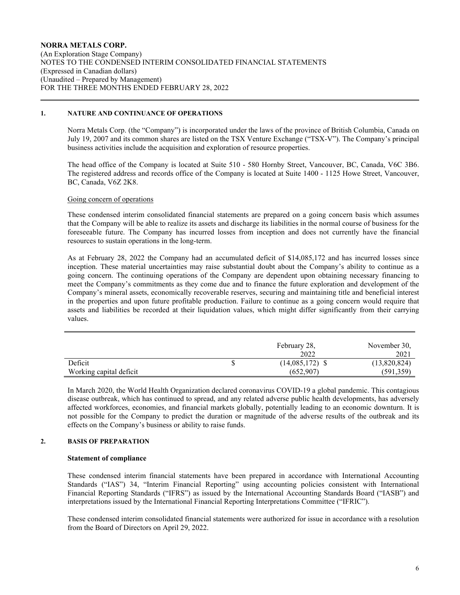### **NORRA METALS CORP.** (An Exploration Stage Company) NOTES TO THE CONDENSED INTERIM CONSOLIDATED FINANCIAL STATEMENTS (Expressed in Canadian dollars) (Unaudited – Prepared by Management) FOR THE THREE MONTHS ENDED FEBRUARY 28, 2022

#### **1. NATURE AND CONTINUANCE OF OPERATIONS**

Norra Metals Corp. (the "Company") is incorporated under the laws of the province of British Columbia, Canada on July 19, 2007 and its common shares are listed on the TSX Venture Exchange ("TSX-V"). The Company's principal business activities include the acquisition and exploration of resource properties.

The head office of the Company is located at Suite 510 - 580 Hornby Street, Vancouver, BC, Canada, V6C 3B6. The registered address and records office of the Company is located at Suite 1400 - 1125 Howe Street, Vancouver, BC, Canada, V6Z 2K8.

#### Going concern of operations

These condensed interim consolidated financial statements are prepared on a going concern basis which assumes that the Company will be able to realize its assets and discharge its liabilities in the normal course of business for the foreseeable future. The Company has incurred losses from inception and does not currently have the financial resources to sustain operations in the long-term.

As at February 28, 2022 the Company had an accumulated deficit of \$14,085,172 and has incurred losses since inception. These material uncertainties may raise substantial doubt about the Company's ability to continue as a going concern. The continuing operations of the Company are dependent upon obtaining necessary financing to meet the Company's commitments as they come due and to finance the future exploration and development of the Company's mineral assets, economically recoverable reserves, securing and maintaining title and beneficial interest in the properties and upon future profitable production. Failure to continue as a going concern would require that assets and liabilities be recorded at their liquidation values, which might differ significantly from their carrying values.

|                         | February 28,<br>2022 | November 30,<br>2021 |
|-------------------------|----------------------|----------------------|
| Deficit                 | $(14,085,172)$ \$    | (13,820,824)         |
| Working capital deficit | (652,907)            | (591, 359)           |

In March 2020, the World Health Organization declared coronavirus COVID-19 a global pandemic. This contagious disease outbreak, which has continued to spread, and any related adverse public health developments, has adversely affected workforces, economies, and financial markets globally, potentially leading to an economic downturn. It is not possible for the Company to predict the duration or magnitude of the adverse results of the outbreak and its effects on the Company's business or ability to raise funds.

#### **2. BASIS OF PREPARATION**

#### **Statement of compliance**

These condensed interim financial statements have been prepared in accordance with International Accounting Standards ("IAS") 34, "Interim Financial Reporting" using accounting policies consistent with International Financial Reporting Standards ("IFRS") as issued by the International Accounting Standards Board ("IASB") and interpretations issued by the International Financial Reporting Interpretations Committee ("IFRIC").

These condensed interim consolidated financial statements were authorized for issue in accordance with a resolution from the Board of Directors on April 29, 2022.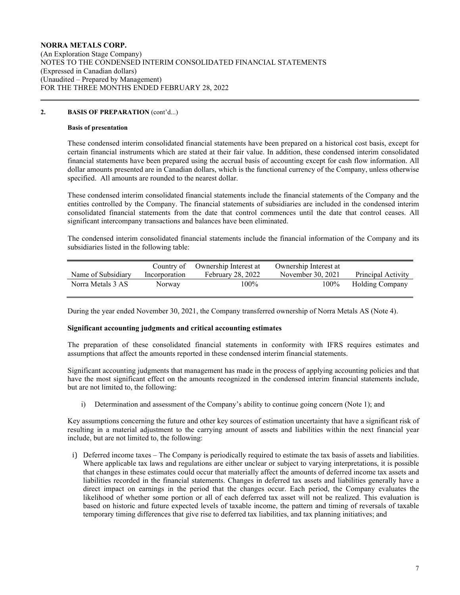## **2. BASIS OF PREPARATION** (cont'd...)

#### **Basis of presentation**

These condensed interim consolidated financial statements have been prepared on a historical cost basis, except for certain financial instruments which are stated at their fair value. In addition, these condensed interim consolidated financial statements have been prepared using the accrual basis of accounting except for cash flow information. All dollar amounts presented are in Canadian dollars, which is the functional currency of the Company, unless otherwise specified. All amounts are rounded to the nearest dollar.

These condensed interim consolidated financial statements include the financial statements of the Company and the entities controlled by the Company. The financial statements of subsidiaries are included in the condensed interim consolidated financial statements from the date that control commences until the date that control ceases. All significant intercompany transactions and balances have been eliminated.

The condensed interim consolidated financial statements include the financial information of the Company and its subsidiaries listed in the following table:

|                    |               | Country of Ownership Interest at | Ownership Interest at |                        |
|--------------------|---------------|----------------------------------|-----------------------|------------------------|
| Name of Subsidiary | Incorporation | <b>February 28, 2022</b>         | November 30, 2021     | Principal Activity     |
| Norra Metals 3 AS  | Norway        | 100%                             | 100%                  | <b>Holding Company</b> |

During the year ended November 30, 2021, the Company transferred ownership of Norra Metals AS (Note 4).

#### **Significant accounting judgments and critical accounting estimates**

The preparation of these consolidated financial statements in conformity with IFRS requires estimates and assumptions that affect the amounts reported in these condensed interim financial statements.

Significant accounting judgments that management has made in the process of applying accounting policies and that have the most significant effect on the amounts recognized in the condensed interim financial statements include, but are not limited to, the following:

i) Determination and assessment of the Company's ability to continue going concern (Note 1); and

Key assumptions concerning the future and other key sources of estimation uncertainty that have a significant risk of resulting in a material adjustment to the carrying amount of assets and liabilities within the next financial year include, but are not limited to, the following:

i) Deferred income taxes – The Company is periodically required to estimate the tax basis of assets and liabilities. Where applicable tax laws and regulations are either unclear or subject to varying interpretations, it is possible that changes in these estimates could occur that materially affect the amounts of deferred income tax assets and liabilities recorded in the financial statements. Changes in deferred tax assets and liabilities generally have a direct impact on earnings in the period that the changes occur. Each period, the Company evaluates the likelihood of whether some portion or all of each deferred tax asset will not be realized. This evaluation is based on historic and future expected levels of taxable income, the pattern and timing of reversals of taxable temporary timing differences that give rise to deferred tax liabilities, and tax planning initiatives; and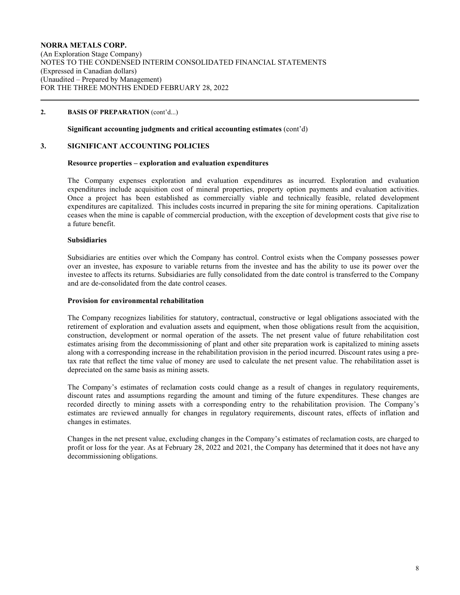## **2. BASIS OF PREPARATION** (cont'd...)

## **Significant accounting judgments and critical accounting estimates** (cont'd)

#### **3. SIGNIFICANT ACCOUNTING POLICIES**

#### **Resource properties – exploration and evaluation expenditures**

The Company expenses exploration and evaluation expenditures as incurred. Exploration and evaluation expenditures include acquisition cost of mineral properties, property option payments and evaluation activities. Once a project has been established as commercially viable and technically feasible, related development expenditures are capitalized. This includes costs incurred in preparing the site for mining operations. Capitalization ceases when the mine is capable of commercial production, with the exception of development costs that give rise to a future benefit.

#### **Subsidiaries**

Subsidiaries are entities over which the Company has control. Control exists when the Company possesses power over an investee, has exposure to variable returns from the investee and has the ability to use its power over the investee to affects its returns. Subsidiaries are fully consolidated from the date control is transferred to the Company and are de-consolidated from the date control ceases.

#### **Provision for environmental rehabilitation**

The Company recognizes liabilities for statutory, contractual, constructive or legal obligations associated with the retirement of exploration and evaluation assets and equipment, when those obligations result from the acquisition, construction, development or normal operation of the assets. The net present value of future rehabilitation cost estimates arising from the decommissioning of plant and other site preparation work is capitalized to mining assets along with a corresponding increase in the rehabilitation provision in the period incurred. Discount rates using a pretax rate that reflect the time value of money are used to calculate the net present value. The rehabilitation asset is depreciated on the same basis as mining assets.

The Company's estimates of reclamation costs could change as a result of changes in regulatory requirements, discount rates and assumptions regarding the amount and timing of the future expenditures. These changes are recorded directly to mining assets with a corresponding entry to the rehabilitation provision. The Company's estimates are reviewed annually for changes in regulatory requirements, discount rates, effects of inflation and changes in estimates.

Changes in the net present value, excluding changes in the Company's estimates of reclamation costs, are charged to profit or loss for the year. As at February 28, 2022 and 2021, the Company has determined that it does not have any decommissioning obligations.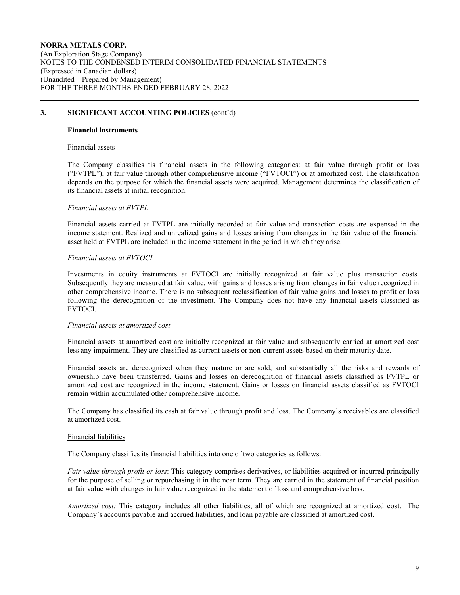## **3. SIGNIFICANT ACCOUNTING POLICIES** (cont'd)

#### **Financial instruments**

#### Financial assets

The Company classifies tis financial assets in the following categories: at fair value through profit or loss ("FVTPL"), at fair value through other comprehensive income ("FVTOCI") or at amortized cost. The classification depends on the purpose for which the financial assets were acquired. Management determines the classification of its financial assets at initial recognition.

#### *Financial assets at FVTPL*

Financial assets carried at FVTPL are initially recorded at fair value and transaction costs are expensed in the income statement. Realized and unrealized gains and losses arising from changes in the fair value of the financial asset held at FVTPL are included in the income statement in the period in which they arise.

#### *Financial assets at FVTOCI*

Investments in equity instruments at FVTOCI are initially recognized at fair value plus transaction costs. Subsequently they are measured at fair value, with gains and losses arising from changes in fair value recognized in other comprehensive income. There is no subsequent reclassification of fair value gains and losses to profit or loss following the derecognition of the investment. The Company does not have any financial assets classified as FVTOCI.

#### *Financial assets at amortized cost*

Financial assets at amortized cost are initially recognized at fair value and subsequently carried at amortized cost less any impairment. They are classified as current assets or non-current assets based on their maturity date.

Financial assets are derecognized when they mature or are sold, and substantially all the risks and rewards of ownership have been transferred. Gains and losses on derecognition of financial assets classified as FVTPL or amortized cost are recognized in the income statement. Gains or losses on financial assets classified as FVTOCI remain within accumulated other comprehensive income.

The Company has classified its cash at fair value through profit and loss. The Company's receivables are classified at amortized cost.

#### Financial liabilities

The Company classifies its financial liabilities into one of two categories as follows:

*Fair value through profit or loss*: This category comprises derivatives, or liabilities acquired or incurred principally for the purpose of selling or repurchasing it in the near term. They are carried in the statement of financial position at fair value with changes in fair value recognized in the statement of loss and comprehensive loss.

*Amortized cost:* This category includes all other liabilities, all of which are recognized at amortized cost. The Company's accounts payable and accrued liabilities, and loan payable are classified at amortized cost.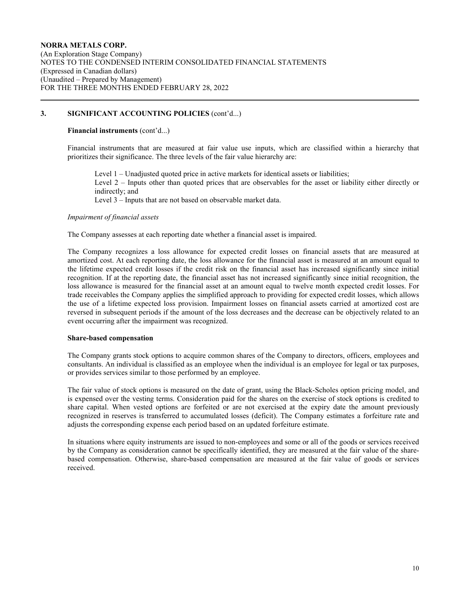## **3. SIGNIFICANT ACCOUNTING POLICIES** (cont'd...)

### **Financial instruments** (cont'd...)

Financial instruments that are measured at fair value use inputs, which are classified within a hierarchy that prioritizes their significance. The three levels of the fair value hierarchy are:

Level 1 – Unadjusted quoted price in active markets for identical assets or liabilities; Level 2 – Inputs other than quoted prices that are observables for the asset or liability either directly or indirectly; and Level 3 – Inputs that are not based on observable market data.

## *Impairment of financial assets*

The Company assesses at each reporting date whether a financial asset is impaired.

The Company recognizes a loss allowance for expected credit losses on financial assets that are measured at amortized cost. At each reporting date, the loss allowance for the financial asset is measured at an amount equal to the lifetime expected credit losses if the credit risk on the financial asset has increased significantly since initial recognition. If at the reporting date, the financial asset has not increased significantly since initial recognition, the loss allowance is measured for the financial asset at an amount equal to twelve month expected credit losses. For trade receivables the Company applies the simplified approach to providing for expected credit losses, which allows the use of a lifetime expected loss provision. Impairment losses on financial assets carried at amortized cost are reversed in subsequent periods if the amount of the loss decreases and the decrease can be objectively related to an event occurring after the impairment was recognized.

#### **Share-based compensation**

The Company grants stock options to acquire common shares of the Company to directors, officers, employees and consultants. An individual is classified as an employee when the individual is an employee for legal or tax purposes, or provides services similar to those performed by an employee.

The fair value of stock options is measured on the date of grant, using the Black-Scholes option pricing model, and is expensed over the vesting terms. Consideration paid for the shares on the exercise of stock options is credited to share capital. When vested options are forfeited or are not exercised at the expiry date the amount previously recognized in reserves is transferred to accumulated losses (deficit). The Company estimates a forfeiture rate and adjusts the corresponding expense each period based on an updated forfeiture estimate.

In situations where equity instruments are issued to non-employees and some or all of the goods or services received by the Company as consideration cannot be specifically identified, they are measured at the fair value of the sharebased compensation. Otherwise, share-based compensation are measured at the fair value of goods or services received.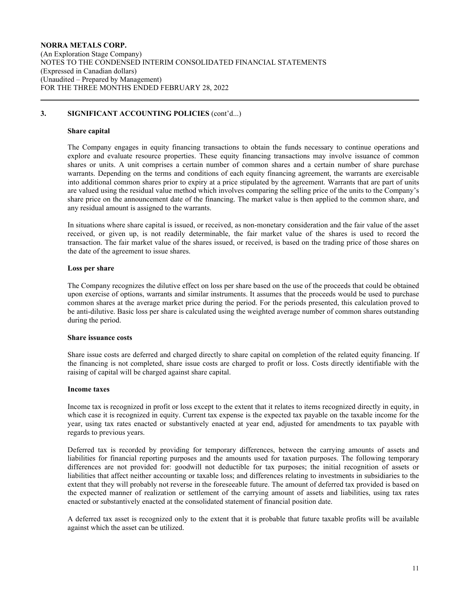## **3. SIGNIFICANT ACCOUNTING POLICIES** (cont'd...)

#### **Share capital**

The Company engages in equity financing transactions to obtain the funds necessary to continue operations and explore and evaluate resource properties. These equity financing transactions may involve issuance of common shares or units. A unit comprises a certain number of common shares and a certain number of share purchase warrants. Depending on the terms and conditions of each equity financing agreement, the warrants are exercisable into additional common shares prior to expiry at a price stipulated by the agreement. Warrants that are part of units are valued using the residual value method which involves comparing the selling price of the units to the Company's share price on the announcement date of the financing. The market value is then applied to the common share, and any residual amount is assigned to the warrants.

In situations where share capital is issued, or received, as non-monetary consideration and the fair value of the asset received, or given up, is not readily determinable, the fair market value of the shares is used to record the transaction. The fair market value of the shares issued, or received, is based on the trading price of those shares on the date of the agreement to issue shares.

## **Loss per share**

The Company recognizes the dilutive effect on loss per share based on the use of the proceeds that could be obtained upon exercise of options, warrants and similar instruments. It assumes that the proceeds would be used to purchase common shares at the average market price during the period. For the periods presented, this calculation proved to be anti-dilutive. Basic loss per share is calculated using the weighted average number of common shares outstanding during the period.

#### **Share issuance costs**

Share issue costs are deferred and charged directly to share capital on completion of the related equity financing. If the financing is not completed, share issue costs are charged to profit or loss. Costs directly identifiable with the raising of capital will be charged against share capital.

#### **Income taxes**

Income tax is recognized in profit or loss except to the extent that it relates to items recognized directly in equity, in which case it is recognized in equity. Current tax expense is the expected tax payable on the taxable income for the year, using tax rates enacted or substantively enacted at year end, adjusted for amendments to tax payable with regards to previous years.

Deferred tax is recorded by providing for temporary differences, between the carrying amounts of assets and liabilities for financial reporting purposes and the amounts used for taxation purposes. The following temporary differences are not provided for: goodwill not deductible for tax purposes; the initial recognition of assets or liabilities that affect neither accounting or taxable loss; and differences relating to investments in subsidiaries to the extent that they will probably not reverse in the foreseeable future. The amount of deferred tax provided is based on the expected manner of realization or settlement of the carrying amount of assets and liabilities, using tax rates enacted or substantively enacted at the consolidated statement of financial position date.

A deferred tax asset is recognized only to the extent that it is probable that future taxable profits will be available against which the asset can be utilized.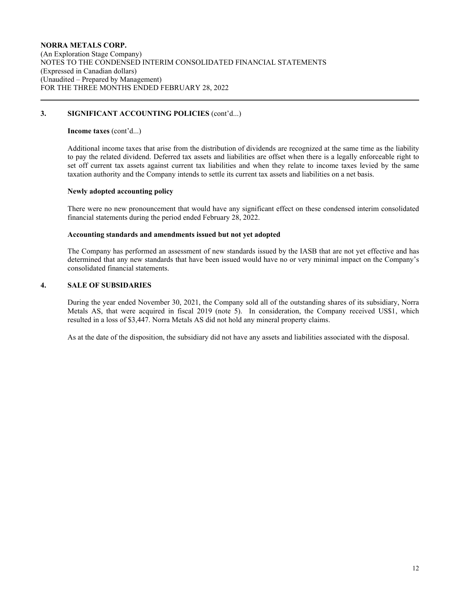## **3. SIGNIFICANT ACCOUNTING POLICIES** (cont'd...)

#### **Income taxes** (cont'd...)

Additional income taxes that arise from the distribution of dividends are recognized at the same time as the liability to pay the related dividend. Deferred tax assets and liabilities are offset when there is a legally enforceable right to set off current tax assets against current tax liabilities and when they relate to income taxes levied by the same taxation authority and the Company intends to settle its current tax assets and liabilities on a net basis.

## **Newly adopted accounting policy**

There were no new pronouncement that would have any significant effect on these condensed interim consolidated financial statements during the period ended February 28, 2022.

## **Accounting standards and amendments issued but not yet adopted**

The Company has performed an assessment of new standards issued by the IASB that are not yet effective and has determined that any new standards that have been issued would have no or very minimal impact on the Company's consolidated financial statements.

## **4. SALE OF SUBSIDARIES**

During the year ended November 30, 2021, the Company sold all of the outstanding shares of its subsidiary, Norra Metals AS, that were acquired in fiscal 2019 (note 5). In consideration, the Company received US\$1, which resulted in a loss of \$3,447. Norra Metals AS did not hold any mineral property claims.

As at the date of the disposition, the subsidiary did not have any assets and liabilities associated with the disposal.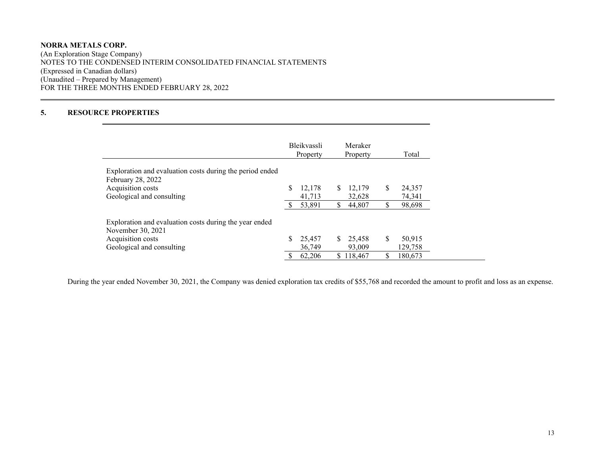## **NORRA METALS CORP.** (An Exploration Stage Company) NOTES TO THE CONDENSED INTERIM CONSOLIDATED FINANCIAL STATEMENTS (Expressed in Canadian dollars) (Unaudited – Prepared by Management) FOR THE THREE MONTHS ENDED FEBRUARY 28, 2022

# **5. RESOURCE PROPERTIES**

 $\overline{a}$ 

|                                                                               | <b>Bleikvassli</b><br>Property |    | Meraker<br>Property |    | Total   |
|-------------------------------------------------------------------------------|--------------------------------|----|---------------------|----|---------|
| Exploration and evaluation costs during the period ended<br>February 28, 2022 |                                |    |                     |    |         |
| Acquisition costs                                                             | 12.178                         | S  | 12,179              | \$ | 24,357  |
| Geological and consulting                                                     | 41,713                         |    | 32,628              |    | 74,341  |
|                                                                               | 53,891                         | \$ | 44,807              | \$ | 98,698  |
| Exploration and evaluation costs during the year ended<br>November 30, 2021   |                                |    |                     |    |         |
| Acquisition costs                                                             | 25,457                         | S. | 25.458              | S  | 50,915  |
| Geological and consulting                                                     | 36,749                         |    | 93,009              |    | 129,758 |
|                                                                               | 62,206                         |    | \$118,467           | \$ | 180,673 |

During the year ended November 30, 2021, the Company was denied exploration tax credits of \$55,768 and recorded the amount to profit and loss as an expense.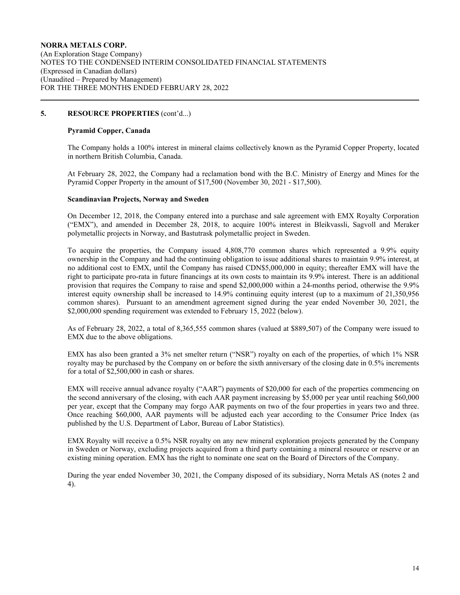## **5. RESOURCE PROPERTIES** (cont'd...)

## **Pyramid Copper, Canada**

The Company holds a 100% interest in mineral claims collectively known as the Pyramid Copper Property, located in northern British Columbia, Canada.

At February 28, 2022, the Company had a reclamation bond with the B.C. Ministry of Energy and Mines for the Pyramid Copper Property in the amount of \$17,500 (November 30, 2021 - \$17,500).

### **Scandinavian Projects, Norway and Sweden**

On December 12, 2018, the Company entered into a purchase and sale agreement with EMX Royalty Corporation ("EMX"), and amended in December 28, 2018, to acquire 100% interest in Bleikvassli, Sagvoll and Meraker polymetallic projects in Norway, and Bastutrask polymetallic project in Sweden.

To acquire the properties, the Company issued 4,808,770 common shares which represented a 9.9% equity ownership in the Company and had the continuing obligation to issue additional shares to maintain 9.9% interest, at no additional cost to EMX, until the Company has raised CDN\$5,000,000 in equity; thereafter EMX will have the right to participate pro-rata in future financings at its own costs to maintain its 9.9% interest. There is an additional provision that requires the Company to raise and spend \$2,000,000 within a 24-months period, otherwise the 9.9% interest equity ownership shall be increased to 14.9% continuing equity interest (up to a maximum of 21,350,956 common shares). Pursuant to an amendment agreement signed during the year ended November 30, 2021, the \$2,000,000 spending requirement was extended to February 15, 2022 (below).

As of February 28, 2022, a total of 8,365,555 common shares (valued at \$889,507) of the Company were issued to EMX due to the above obligations.

EMX has also been granted a 3% net smelter return ("NSR") royalty on each of the properties, of which 1% NSR royalty may be purchased by the Company on or before the sixth anniversary of the closing date in 0.5% increments for a total of \$2,500,000 in cash or shares.

EMX will receive annual advance royalty ("AAR") payments of \$20,000 for each of the properties commencing on the second anniversary of the closing, with each AAR payment increasing by \$5,000 per year until reaching \$60,000 per year, except that the Company may forgo AAR payments on two of the four properties in years two and three. Once reaching \$60,000, AAR payments will be adjusted each year according to the Consumer Price Index (as published by the U.S. Department of Labor, Bureau of Labor Statistics).

EMX Royalty will receive a 0.5% NSR royalty on any new mineral exploration projects generated by the Company in Sweden or Norway, excluding projects acquired from a third party containing a mineral resource or reserve or an existing mining operation. EMX has the right to nominate one seat on the Board of Directors of the Company.

During the year ended November 30, 2021, the Company disposed of its subsidiary, Norra Metals AS (notes 2 and 4).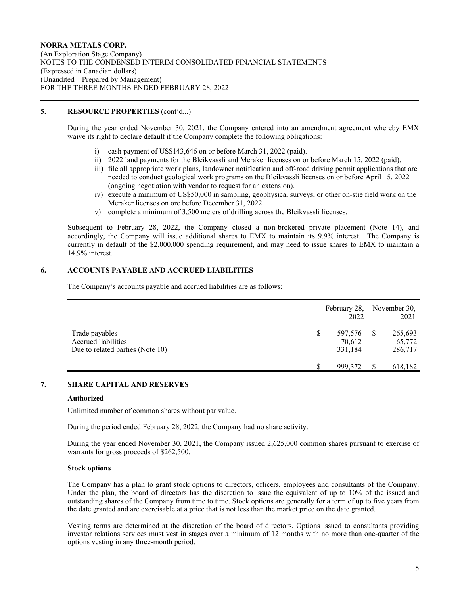## **NORRA METALS CORP.** (An Exploration Stage Company) NOTES TO THE CONDENSED INTERIM CONSOLIDATED FINANCIAL STATEMENTS (Expressed in Canadian dollars) (Unaudited – Prepared by Management) FOR THE THREE MONTHS ENDED FEBRUARY 28, 2022

## **5. RESOURCE PROPERTIES** (cont'd...)

During the year ended November 30, 2021, the Company entered into an amendment agreement whereby EMX waive its right to declare default if the Company complete the following obligations:

- i) cash payment of US\$143,646 on or before March 31, 2022 (paid).
- ii) 2022 land payments for the Bleikvassli and Meraker licenses on or before March 15, 2022 (paid).
- iii) file all appropriate work plans, landowner notification and off-road driving permit applications that are needed to conduct geological work programs on the Bleikvassli licenses on or before April 15, 2022 (ongoing negotiation with vendor to request for an extension).
- iv) execute a minimum of US\$50,000 in sampling, geophysical surveys, or other on-stie field work on the Meraker licenses on ore before December 31, 2022.
- v) complete a minimum of 3,500 meters of drilling across the Bleikvassli licenses.

Subsequent to February 28, 2022, the Company closed a non-brokered private placement (Note 14), and accordingly, the Company will issue additional shares to EMX to maintain its 9.9% interest. The Company is currently in default of the \$2,000,000 spending requirement, and may need to issue shares to EMX to maintain a 14.9% interest.

## **6. ACCOUNTS PAYABLE AND ACCRUED LIABILITIES**

The Company's accounts payable and accrued liabilities are as follows:

|                                                                           | February 28,<br>2022         | November 30,<br>2021         |
|---------------------------------------------------------------------------|------------------------------|------------------------------|
| Trade payables<br>Accrued liabilities<br>Due to related parties (Note 10) | 597,576<br>70,612<br>331,184 | 265,693<br>65,772<br>286,717 |
|                                                                           | 999,372                      | 618,182                      |

# **7. SHARE CAPITAL AND RESERVES**

## **Authorized**

Unlimited number of common shares without par value.

During the period ended February 28, 2022, the Company had no share activity.

During the year ended November 30, 2021, the Company issued 2,625,000 common shares pursuant to exercise of warrants for gross proceeds of \$262,500.

#### **Stock options**

The Company has a plan to grant stock options to directors, officers, employees and consultants of the Company. Under the plan, the board of directors has the discretion to issue the equivalent of up to 10% of the issued and outstanding shares of the Company from time to time. Stock options are generally for a term of up to five years from the date granted and are exercisable at a price that is not less than the market price on the date granted.

Vesting terms are determined at the discretion of the board of directors. Options issued to consultants providing investor relations services must vest in stages over a minimum of 12 months with no more than one-quarter of the options vesting in any three-month period.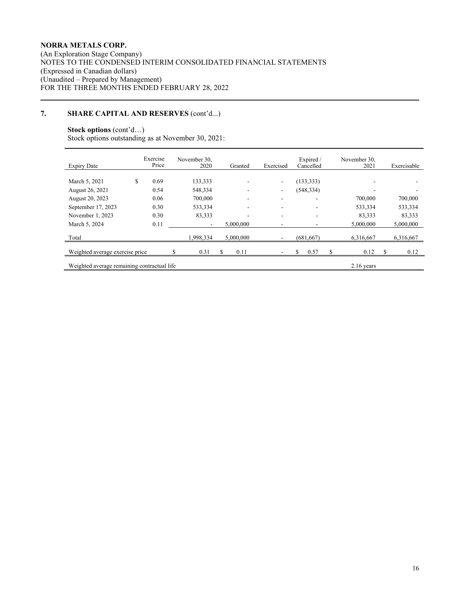## **NORRA METALS CORP.**

(An Exploration Stage Company) NOTES TO THE CONDENSED INTERIM CONSOLIDATED FINANCIAL STATEMENTS (Expressed in Canadian dollars) (Unaudited – Prepared by Management) FOR THE THREE MONTHS ENDED FEBRUARY 28, 2022

# **7. SHARE CAPITAL AND RESERVES** (cont'd...)

# **Stock options** (cont'd…)

Stock options outstanding as at November 30, 2021:

| <b>Expiry Date</b>                                          | Exercise<br>Price | November 30.<br>2020 | Granted   | Exercised                | Expired /<br>Cancelled | November 30.<br>2021 | Exercisable              |  |  |
|-------------------------------------------------------------|-------------------|----------------------|-----------|--------------------------|------------------------|----------------------|--------------------------|--|--|
| March 5, 2021                                               | 0.69<br>S         | 133,333              | ٠         | $\overline{\phantom{0}}$ | (133, 333)             | ۰                    |                          |  |  |
| August 26, 2021                                             | 0.54              | 548,334              | -         | ٠                        | (548, 334)             | -                    | $\overline{\phantom{0}}$ |  |  |
| August 20, 2023                                             | 0.06              | 700,000              | ۰         | ۰                        | ۰                      | 700,000              | 700,000                  |  |  |
| September 17, 2023                                          | 0.30              | 533,334              | ٠         | ۰                        | ۰                      | 533,334              | 533,334                  |  |  |
| November 1, 2023                                            | 0.30              | 83,333               |           | ۰                        | ۰                      | 83.333               | 83.333                   |  |  |
| March 5, 2024                                               | 0.11              | $\sim$               | 5,000,000 | ۰                        | ٠                      | 5,000,000            | 5,000,000                |  |  |
| Total                                                       |                   | 1,998,334            | 5,000,000 |                          | (681, 667)             | 6,316,667            | 6,316,667                |  |  |
| Weighted average exercise price                             |                   | 0.31                 | S<br>0.11 | ۰                        | S<br>\$<br>0.57        | 0.12                 | \$.<br>0.12              |  |  |
| Weighted average remaining contractual life<br>$2.16$ years |                   |                      |           |                          |                        |                      |                          |  |  |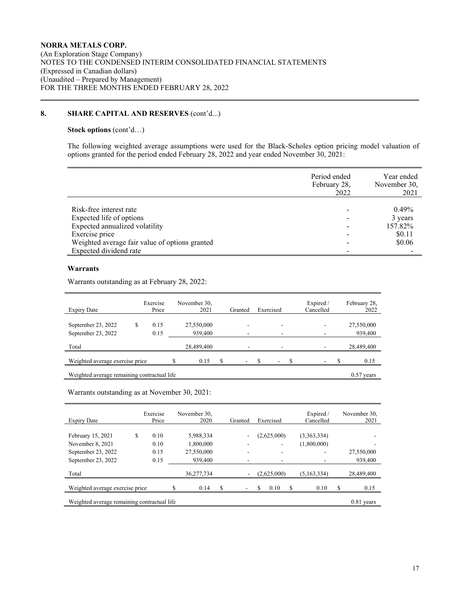## **8. SHARE CAPITAL AND RESERVES** (cont'd...)

## **Stock options** (cont'd…)

The following weighted average assumptions were used for the Black-Scholes option pricing model valuation of options granted for the period ended February 28, 2022 and year ended November 30, 2021:

|                                                | Period ended<br>February 28,<br>2022 | Year ended<br>November 30,<br>2021 |
|------------------------------------------------|--------------------------------------|------------------------------------|
|                                                |                                      |                                    |
| Risk-free interest rate                        |                                      | $0.49\%$                           |
| Expected life of options                       |                                      | 3 years                            |
| Expected annualized volatility                 |                                      | 157.82%                            |
| Exercise price                                 |                                      | \$0.11                             |
| Weighted average fair value of options granted |                                      | \$0.06                             |
| Expected dividend rate                         |                                      |                                    |

## **Warrants**

Warrants outstanding as at February 28, 2022:

| <b>Expiry Date</b>                          |   | Exercise<br>Price |  | November 30,<br>2021 |  | Granted                  |  | Exercised |  | Expired /<br>Cancelled |  | February 28,<br>2022 |
|---------------------------------------------|---|-------------------|--|----------------------|--|--------------------------|--|-----------|--|------------------------|--|----------------------|
|                                             |   |                   |  |                      |  |                          |  |           |  |                        |  |                      |
| September 23, 2022                          | S | 0.15              |  | 27,550,000           |  |                          |  | ۰         |  |                        |  | 27,550,000           |
| September 23, 2022                          |   | 0.15              |  | 939,400              |  | -                        |  | ۰         |  |                        |  | 939,400              |
|                                             |   |                   |  |                      |  |                          |  |           |  |                        |  |                      |
| Total                                       |   |                   |  | 28,489,400           |  | ۰                        |  |           |  |                        |  | 28,489,400           |
|                                             |   |                   |  |                      |  |                          |  |           |  |                        |  |                      |
| Weighted average exercise price             |   |                   |  | 0.15                 |  | $\overline{\phantom{a}}$ |  | ۰         |  | ۰                      |  | 0.15                 |
|                                             |   |                   |  |                      |  |                          |  |           |  |                        |  |                      |
| Weighted average remaining contractual life |   |                   |  |                      |  |                          |  |           |  | $0.57$ years           |  |                      |

Warrants outstanding as at November 30, 2021:

| <b>Expiry Date</b>                          |   | Exercise<br>Price | November 30.<br>2020 | Granted |   | Exercised   |   | Expired /<br>Cancelled | November 30.<br>2021 |
|---------------------------------------------|---|-------------------|----------------------|---------|---|-------------|---|------------------------|----------------------|
|                                             |   |                   |                      |         |   |             |   |                        |                      |
| February 15, 2021                           | S | 0.10              | 5.988.334            | ٠       |   | (2,625,000) |   | (3,363,334)            |                      |
| November 8, 2021                            |   | 0.10              | 1.800.000            | ٠       |   | ۰           |   | (1,800,000)            | -                    |
| September 23, 2022                          |   | 0.15              | 27,550,000           | ۰       |   | ۰           |   |                        | 27,550,000           |
| September 23, 2022                          |   | 0.15              | 939,400              | ٠       | ۰ |             |   |                        | 939,400              |
| Total                                       |   |                   | 36,277,734           | ۰       |   | (2.625,000) |   | (5,163,334)            | 28,489,400           |
|                                             |   |                   |                      |         |   |             |   |                        |                      |
| Weighted average exercise price             |   |                   | 0.14                 |         |   | 0.10        | S | 0.10                   | 0.15                 |
| Weighted average remaining contractual life |   |                   |                      |         |   |             |   |                        | $0.81$ years         |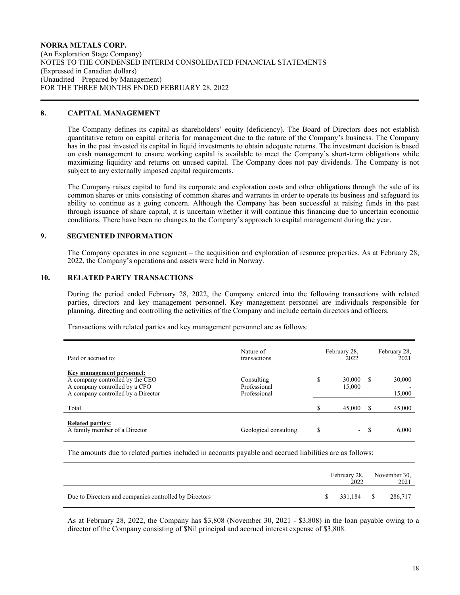### **NORRA METALS CORP.** (An Exploration Stage Company) NOTES TO THE CONDENSED INTERIM CONSOLIDATED FINANCIAL STATEMENTS (Expressed in Canadian dollars) (Unaudited – Prepared by Management) FOR THE THREE MONTHS ENDED FEBRUARY 28, 2022

### **8. CAPITAL MANAGEMENT**

The Company defines its capital as shareholders' equity (deficiency). The Board of Directors does not establish quantitative return on capital criteria for management due to the nature of the Company's business. The Company has in the past invested its capital in liquid investments to obtain adequate returns. The investment decision is based on cash management to ensure working capital is available to meet the Company's short-term obligations while maximizing liquidity and returns on unused capital. The Company does not pay dividends. The Company is not subject to any externally imposed capital requirements.

The Company raises capital to fund its corporate and exploration costs and other obligations through the sale of its common shares or units consisting of common shares and warrants in order to operate its business and safeguard its ability to continue as a going concern. Although the Company has been successful at raising funds in the past through issuance of share capital, it is uncertain whether it will continue this financing due to uncertain economic conditions. There have been no changes to the Company's approach to capital management during the year.

## **9. SEGMENTED INFORMATION**

The Company operates in one segment – the acquisition and exploration of resource properties. As at February 28, 2022, the Company's operations and assets were held in Norway.

## **10. RELATED PARTY TRANSACTIONS**

During the period ended February 28, 2022, the Company entered into the following transactions with related parties, directors and key management personnel. Key management personnel are individuals responsible for planning, directing and controlling the activities of the Company and include certain directors and officers.

Transactions with related parties and key management personnel are as follows:

| Paid or accrued to:                                                                                                                 | Nature of<br>transactions                  | February 28,<br>2022   |       | February 28,<br>2021 |
|-------------------------------------------------------------------------------------------------------------------------------------|--------------------------------------------|------------------------|-------|----------------------|
| Key management personnel:<br>A company controlled by the CEO<br>A company controlled by a CFO<br>A company controlled by a Director | Consulting<br>Professional<br>Professional | \$<br>30,000<br>15,000 | -S    | 30,000<br>15,000     |
| Total                                                                                                                               |                                            | 45,000                 |       | 45,000               |
| <b>Related parties:</b><br>A family member of a Director                                                                            | Geological consulting                      | \$                     | $- S$ | 6,000                |

The amounts due to related parties included in accounts payable and accrued liabilities are as follows:

|                                                        | 2022 | February 28, November 30,<br>2021 |
|--------------------------------------------------------|------|-----------------------------------|
| Due to Directors and companies controlled by Directors |      | 286.717                           |

As at February 28, 2022, the Company has \$3,808 (November 30, 2021 - \$3,808) in the loan payable owing to a director of the Company consisting of \$Nil principal and accrued interest expense of \$3,808.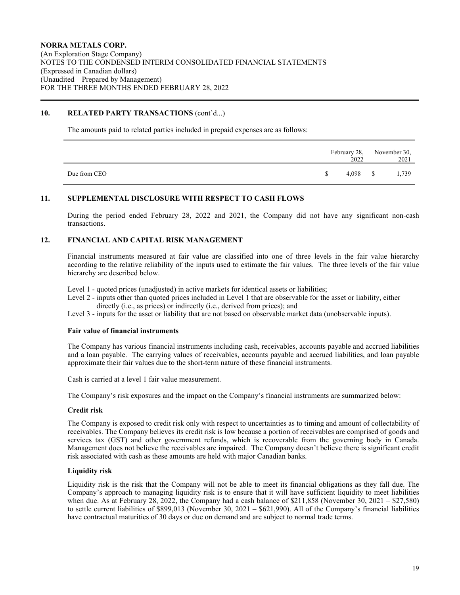## **10. RELATED PARTY TRANSACTIONS** (cont'd...)

The amounts paid to related parties included in prepaid expenses are as follows:

|              |    | 2022     | February 28, November 30,<br>2021 |
|--------------|----|----------|-----------------------------------|
| Due from CEO | S. | 4,098 \$ | 1,739                             |

## **11. SUPPLEMENTAL DISCLOSURE WITH RESPECT TO CASH FLOWS**

During the period ended February 28, 2022 and 2021, the Company did not have any significant non-cash transactions.

## **12. FINANCIAL AND CAPITAL RISK MANAGEMENT**

Financial instruments measured at fair value are classified into one of three levels in the fair value hierarchy according to the relative reliability of the inputs used to estimate the fair values. The three levels of the fair value hierarchy are described below.

Level 1 - quoted prices (unadjusted) in active markets for identical assets or liabilities;

- Level 2 inputs other than quoted prices included in Level 1 that are observable for the asset or liability, either directly (i.e., as prices) or indirectly (i.e., derived from prices); and
- Level 3 inputs for the asset or liability that are not based on observable market data (unobservable inputs).

#### **Fair value of financial instruments**

The Company has various financial instruments including cash, receivables, accounts payable and accrued liabilities and a loan payable. The carrying values of receivables, accounts payable and accrued liabilities, and loan payable approximate their fair values due to the short-term nature of these financial instruments.

Cash is carried at a level 1 fair value measurement.

The Company's risk exposures and the impact on the Company's financial instruments are summarized below:

#### **Credit risk**

The Company is exposed to credit risk only with respect to uncertainties as to timing and amount of collectability of receivables. The Company believes its credit risk is low because a portion of receivables are comprised of goods and services tax (GST) and other government refunds, which is recoverable from the governing body in Canada. Management does not believe the receivables are impaired. The Company doesn't believe there is significant credit risk associated with cash as these amounts are held with major Canadian banks.

#### **Liquidity risk**

Liquidity risk is the risk that the Company will not be able to meet its financial obligations as they fall due. The Company's approach to managing liquidity risk is to ensure that it will have sufficient liquidity to meet liabilities when due. As at February 28, 2022, the Company had a cash balance of \$211,858 (November 30, 2021 – \$27,580) to settle current liabilities of \$899,013 (November 30, 2021 – \$621,990). All of the Company's financial liabilities have contractual maturities of 30 days or due on demand and are subject to normal trade terms.